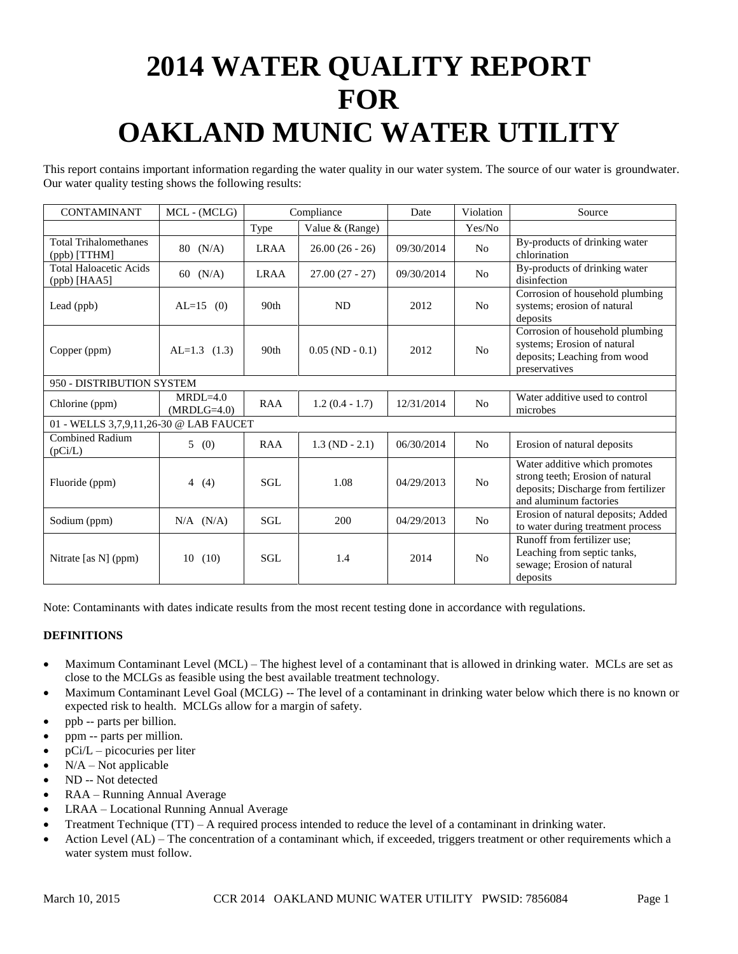# **2014 WATER QUALITY REPORT FOR OAKLAND MUNIC WATER UTILITY**

This report contains important information regarding the water quality in our water system. The source of our water is groundwater. Our water quality testing shows the following results:

| <b>CONTAMINANT</b>                              | MCL - (MCLG)                  | Compliance       |                   | Date       | Violation      | Source                                                                                                                             |
|-------------------------------------------------|-------------------------------|------------------|-------------------|------------|----------------|------------------------------------------------------------------------------------------------------------------------------------|
|                                                 |                               | Type             | Value & (Range)   |            | Yes/No         |                                                                                                                                    |
| <b>Total Trihalomethanes</b><br>$(ppb)$ [TTHM]  | 80 (N/A)                      | <b>LRAA</b>      | $26.00(26-26)$    | 09/30/2014 | No             | By-products of drinking water<br>chlorination                                                                                      |
| <b>Total Haloacetic Acids</b><br>$(ppb)$ [HAA5] | 60 $(N/A)$                    | <b>LRAA</b>      | $27.00(27 - 27)$  | 09/30/2014 | N <sub>o</sub> | By-products of drinking water<br>disinfection                                                                                      |
| Lead (ppb)                                      | $AL=15$ (0)                   | 90 <sub>th</sub> | ND                | 2012       | N <sub>0</sub> | Corrosion of household plumbing<br>systems; erosion of natural<br>deposits                                                         |
| Copper (ppm)                                    | $AL=1.3$ (1.3)                | 90th             | $0.05$ (ND - 0.1) | 2012       | No             | Corrosion of household plumbing<br>systems; Erosion of natural<br>deposits; Leaching from wood<br>preservatives                    |
| 950 - DISTRIBUTION SYSTEM                       |                               |                  |                   |            |                |                                                                                                                                    |
| Chlorine (ppm)                                  | $MRDI = 4.0$<br>$(MRDLG=4.0)$ | <b>RAA</b>       | $1.2(0.4 - 1.7)$  | 12/31/2014 | N <sub>o</sub> | Water additive used to control<br>microbes                                                                                         |
| 01 - WELLS 3,7,9,11,26-30 @ LAB FAUCET          |                               |                  |                   |            |                |                                                                                                                                    |
| <b>Combined Radium</b><br>(pCi/L)               | 5(0)                          | <b>RAA</b>       | $1.3 (ND - 2.1)$  | 06/30/2014 | N <sub>0</sub> | Erosion of natural deposits                                                                                                        |
| Fluoride (ppm)                                  | 4 $(4)$                       | SGL              | 1.08              | 04/29/2013 | No             | Water additive which promotes<br>strong teeth; Erosion of natural<br>deposits; Discharge from fertilizer<br>and aluminum factories |
| Sodium (ppm)                                    | $N/A$ $(N/A)$                 | <b>SGL</b>       | 200               | 04/29/2013 | N <sub>o</sub> | Erosion of natural deposits; Added<br>to water during treatment process                                                            |
| Nitrate [as N] (ppm)                            | 10<br>(10)                    | SGL              | 1.4               | 2014       | No             | Runoff from fertilizer use;<br>Leaching from septic tanks,<br>sewage; Erosion of natural<br>deposits                               |

Note: Contaminants with dates indicate results from the most recent testing done in accordance with regulations.

### **DEFINITIONS**

- Maximum Contaminant Level (MCL) The highest level of a contaminant that is allowed in drinking water. MCLs are set as close to the MCLGs as feasible using the best available treatment technology.
- Maximum Contaminant Level Goal (MCLG) -- The level of a contaminant in drinking water below which there is no known or expected risk to health. MCLGs allow for a margin of safety.
- ppb -- parts per billion.
- ppm -- parts per million.
- pCi/L picocuries per liter
- $N/A Not$  applicable
- ND -- Not detected
- RAA Running Annual Average
- LRAA Locational Running Annual Average
- Treatment Technique (TT) A required process intended to reduce the level of a contaminant in drinking water.
- Action Level (AL) The concentration of a contaminant which, if exceeded, triggers treatment or other requirements which a water system must follow.